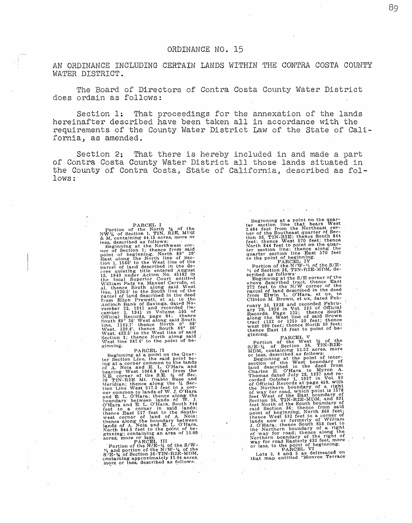## ORDINANCE NO. 15

AN ORDINANCE INCLUDING CERTAIN LANDS WITHIN THE CONTRA COSTA COUNTY WATER DISTRICT.

The Board of Directors of Contra Costa County Water District does ordain as follows:

Section 1: That proceedings for the annexation of the lands hereinafter described have been taken all in accordance with the requirements of the County Water District Law of the State of California, as amended.

Section 2: That there is hereby included in and made a part of Contra Costa County Water District all those lands situated in the County of Contra Costa, State of California, described as follows:

Partion of the North 1/2 of the North 1/2 of the North 1/2 of the North 2018. Northing 44.15 access, nore or less, described as follows:<br>Less, described as follows:  $\log$  more or Section 1; thence from said northwest corre

Beginning at a point on the Quar-<br>ier Section Line, the said point be-<br>ing at a corner common to the lands<br>of A. Noia and E. L. O'Hara and<br>bearing West 1966.8 feet from the<br>N.E. corner of the S.E.  $\frac{1}{3}$  of Sec.<br>36 T2N-

acres, more particular in the N/Ri-¼ of the S/W-<br>  $V_1$  and portion of the N/W- <sup>1</sup>⁄4 of the<br>
S 'E-¼ of Section 36-T2N-R2E-MDM.<br>
containing approximately 11.04 acres.<br>
more or less, described as follows:

Beginning at a point on the quar-<br>ter section line that bears West <sup>2</sup>.484 feet from the Northeast cor-<br>tion 36, T2N-R2E; thence South 844<br>feet; thence West 570 feet; thence<br>North 844 feet to point on the quar-<br>North 844 feet to point on the quar-<br>ter section line; thence along the

er section line East 570 feet<br>
reset to the point of heginaling.<br>
Tortion of the N/W-14 of the S/E-<br>
14 of Section 36, T2N-R2E-MDM, de-<br>
14 of Section 36, T2N-R2E-MDM, de-<br>
shove described as follows<br>
Beginning at the S/E ruary 16, 1928 and recorded February 29, 1928 in Vol. 133 of Official Records, Page 125; thence South along the West line of said Brown tract (133 or 125) 20 feet; thence South vest 290 feet; thence East 18 feet to point o ginning.<br>PARCEL V

Portion of the West 1/2 of the<br>S/E-1/4 of Section 36, T2N-R2E-<br>MDM, containing 12.52 acres, more

Moreover the point of the point of inter-<br>segmining at the point of inter-<br>segmining at the point of inter-<br>section of the West boundary of<br>land described in the deed from<br>Thomas dated July 28, 1927 and re-<br>corded October

Lots 3, 4 and 5 as delineated on<br>that map entitled "Monroe Terrace"

89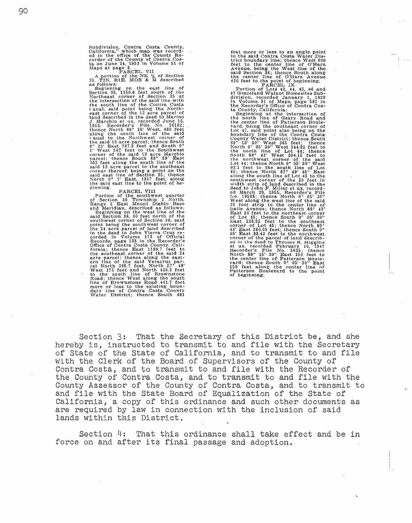Subdivision, Contra Costa County, California," which map was record-<br>ed in the office of the County Re-<br>corder of the County of Contra Cos-<br>ta on June 24, 1953 in Volume 51 of

Maps at page 3. . . PARCEL VII<br>
A portion of the NE 14 of Section<br>
35. T2N, R1E, MDB & M described<br>
as follows:

Leginning on the east line of<br>Seginning on the east line of<br>Seginning on the said of the<br>Northeast corner of Section 35 at<br>the south line of the Contra Costa<br>(anal, said point being the North-<br>east corner of the 12 are par ginning. PARCEL VIII

Portion of the southwest quarter<br>of Section 36 Township 2 North,<br>Range 2 East Mount Diablo Base<br>and Meridian, described as follows:<br>see and Section 36, 30 feet north of the<br>sauthwest corner of Section 36, 30 feet north of dary line of Contra Costa County Water District; thence South 491

feet more or less to an angle point<br>in the said Contra Costa Water Dis-<br>in the tead contract osta Water Dis-<br>det to the center line of O'Hara<br>Avenue, being the West line of the said Section 36; thence South along<br>the cente South 89° 43' West 204.15' feet to<br>
the northwest corner of the said field of the south 15' feet to<br>
Lot 44; thence North 8° 69' 80" West<br>
93.1 feet to the south line of Lot<br>
43; thence North 87° 49' 45' to the<br>
45' to th Last 128.55 feet to the southeast corner of Lot 45; thence North 89° 43' East 260.01 feet; thence South 0°<br>43' East 260.01 feet; thence South 0°<br>65' East 88.42 feet to the northwest<br>corner of the parcel of land described in the deed to Thomas R. Higgins<br>et ux, recorded February 10, 1947<br>Recorder's File No. 5625; thence<br>North 89° 15' 30" East 150 feet to<br>North 89° 15' 30" East 150 feet to<br>the center line of Patterson Boule-<br>150 feet alon

Section 3: That the Secretary of this District be, and she hereby is, instructed to transmit to and file with the Secretary of State of the State of California, and to transmit to and file with the Clerk of the Board of Supervisors of the County of Contra Costa, and to transmit to and file with the Recorder of the County of Contra Costa, and to transmit to and file with the County Assessor of the County of Contra Costa, and to transmit to and file with the State Board of Equalization of the State of California, a copy of this ordinance and such other documents as are required by law in connection with the inclusion of said lands within this District.

Section 4: That this ordinance shall take effect and be in force on and after its final passage and adoption.